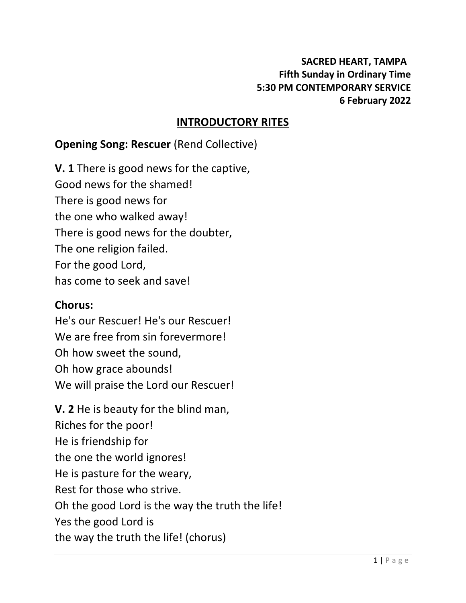### **SACRED HEART, TAMPA Fifth Sunday in Ordinary Time 5:30 PM CONTEMPORARY SERVICE 6 February 2022**

# **INTRODUCTORY RITES**

# **Opening Song: Rescuer** (Rend Collective)

**V. 1** There is good news for the captive, Good news for the shamed! There is good news for the one who walked away! There is good news for the doubter, The one religion failed. For the good Lord, has come to seek and save!

## **Chorus:**

He's our Rescuer! He's our Rescuer! We are free from sin forevermore! Oh how sweet the sound, Oh how grace abounds! We will praise the Lord our Rescuer!

**V. 2** He is beauty for the blind man, Riches for the poor! He is friendship for the one the world ignores! He is pasture for the weary, Rest for those who strive. Oh the good Lord is the way the truth the life! Yes the good Lord is the way the truth the life! (chorus)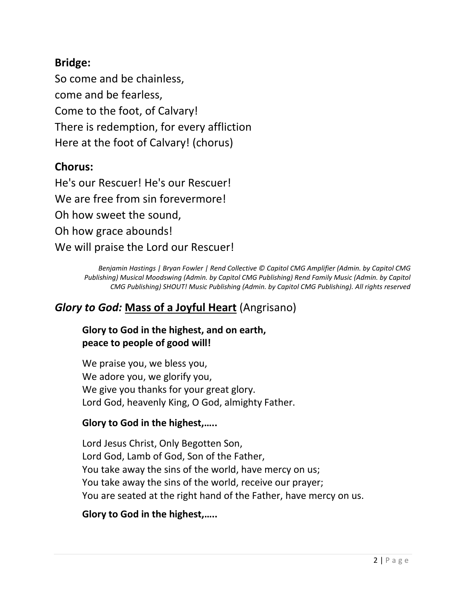# **Bridge:**

So come and be chainless, come and be fearless, Come to the foot, of Calvary! There is redemption, for every affliction Here at the foot of Calvary! (chorus)

### **Chorus:**

He's our Rescuer! He's our Rescuer! We are free from sin forevermore! Oh how sweet the sound, Oh how grace abounds! We will praise the Lord our Rescuer!

> *Benjamin Hastings | Bryan Fowler | Rend Collective © Capitol CMG Amplifier (Admin. by Capitol CMG Publishing) Musical Moodswing (Admin. by Capitol CMG Publishing) Rend Family Music (Admin. by Capitol CMG Publishing) SHOUT! Music Publishing (Admin. by Capitol CMG Publishing). All rights reserved*

# *Glory to God:* **Mass of a Joyful Heart** (Angrisano)

### **Glory to God in the highest, and on earth, peace to people of good will!**

We praise you, we bless you, We adore you, we glorify you, We give you thanks for your great glory. Lord God, heavenly King, O God, almighty Father.

### **Glory to God in the highest,…..**

Lord Jesus Christ, Only Begotten Son, Lord God, Lamb of God, Son of the Father, You take away the sins of the world, have mercy on us; You take away the sins of the world, receive our prayer; You are seated at the right hand of the Father, have mercy on us.

### **Glory to God in the highest,…..**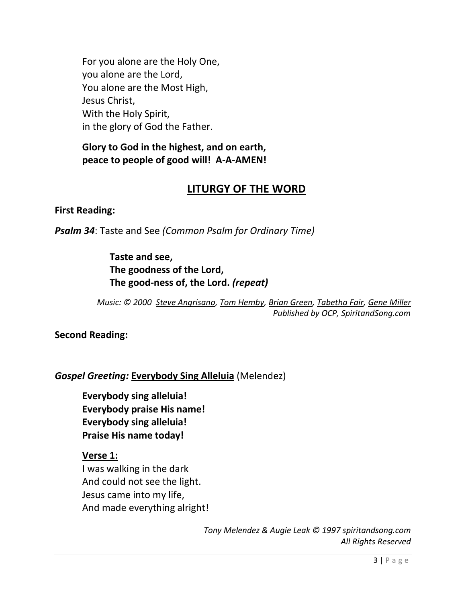For you alone are the Holy One, you alone are the Lord, You alone are the Most High, Jesus Christ, With the Holy Spirit, in the glory of God the Father.

**Glory to God in the highest, and on earth, peace to people of good will! A-A-AMEN!**

### **LITURGY OF THE WORD**

**First Reading:**

*Psalm 34*: Taste and See *(Common Psalm for Ordinary Time)*

**Taste and see, The goodness of the Lord, The good-ness of, the Lord.** *(repeat)*

*Music: © 2000 [Steve Angrisano,](https://www.google.com/search?sxsrf=AOaemvJruKsjUNMTmUIDu5apUm66SKSoKQ:1631300827959&q=Steve+Angrisano&stick=H4sIAAAAAAAAAOPgE-LVT9c3NEw2zi1PzzVKV-LSz9U3MCwuMzct1FLKTrbSzy0tzkzWL0pNzi9KycxLj0_OKS0uSS2ySiwqySwuWcTKH1ySWpaq4JiXXpRZnJiXv4OVEQC8gvbWVgAAAA&sa=X&sqi=2&ved=2ahUKEwjByvySjfXyAhVLq5UCHUIEA8QQmxMoAXoECAUQAw) [Tom Hemby,](https://www.google.com/search?sxsrf=AOaemvJruKsjUNMTmUIDu5apUm66SKSoKQ:1631300827959&q=Tom+Hemby&stick=H4sIAAAAAAAAAOPgE-LVT9c3NEw2zi1PzzVKV-LSz9U3MCzLrjIv0lLKTrbSzy0tzkzWL0pNzi9KycxLj0_OKS0uSS2ySiwqySwuWcTKGZKfq-CRmptUuYOVEQDgO5u1UAAAAA&sa=X&sqi=2&ved=2ahUKEwjByvySjfXyAhVLq5UCHUIEA8QQmxMoAnoECAUQBA) [Brian Green,](https://www.google.com/search?sxsrf=AOaemvJruKsjUNMTmUIDu5apUm66SKSoKQ:1631300827959&q=my+soul+is+thirsting+brian+green&stick=H4sIAAAAAAAAAOPgE-LVT9c3NEw2zi1PzzVKV4JwkyqMsjMKii21lLKTrfRzS4szk_WLUpPzi1Iy89Ljk3NKi0tSi6wSi0oyi0sWsSrkVioU55fmKGQWK5RkZBYVlwBVKSQVZSbmKaQXpabm7WBlBAArG_FyagAAAA&sa=X&sqi=2&ved=2ahUKEwjByvySjfXyAhVLq5UCHUIEA8QQmxMoA3oECAUQBQ) [Tabetha Fair,](https://www.google.com/search?sxsrf=AOaemvJruKsjUNMTmUIDu5apUm66SKSoKQ:1631300827959&q=Tabetha+Fair&stick=H4sIAAAAAAAAAOPgE-LVT9c3NEw2zi1PzzVKV4Jwk0rijQyL8-K1lLKTrfRzS4szk_WLUpPzi1Iy89Ljk3NKi0tSi6wSi0oyi0sWsfKEJCallmQkKrglZhbtYGUEAIWA85FWAAAA&sa=X&sqi=2&ved=2ahUKEwjByvySjfXyAhVLq5UCHUIEA8QQmxMoBHoECAUQBg) [Gene Miller](https://www.google.com/search?sxsrf=AOaemvJruKsjUNMTmUIDu5apUm66SKSoKQ:1631300827959&q=Gene+Miller+Musician&stick=H4sIAAAAAAAAAOPgE-LVT9c3NEw2zi1PzzVKV4JwkyosisuNs_K0lLKTrfRzS4szk_WLUpPzi1Iy89Ljk3NKi0tSi6wSi0oyi0sWsYq4p-alKvhm5uSkFin4ghRnJubtYGUEAIFEP9leAAAA&sa=X&sqi=2&ved=2ahUKEwjByvySjfXyAhVLq5UCHUIEA8QQmxMoBXoECAUQBw) Published by OCP, SpiritandSong.com*

**Second Reading:**

*Gospel Greeting:* **Everybody Sing Alleluia** (Melendez)

**Everybody sing alleluia! Everybody praise His name! Everybody sing alleluia! Praise His name today!**

**Verse 1:** I was walking in the dark And could not see the light. Jesus came into my life, And made everything alright!

> *Tony Melendez & Augie Leak © 1997 spiritandsong.com All Rights Reserved*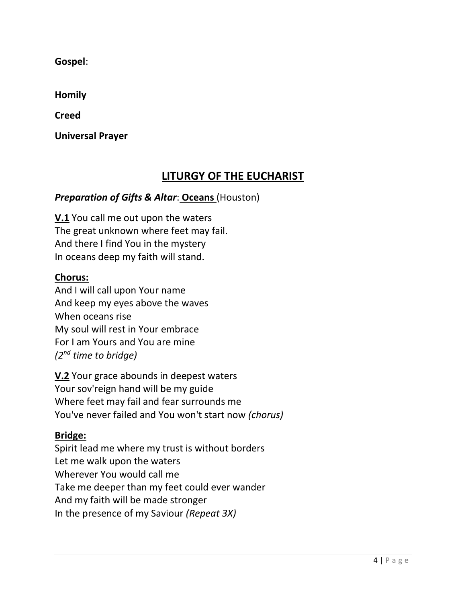**Gospel**:

**Homily**

**Creed**

**Universal Prayer**

### **LITURGY OF THE EUCHARIST**

### *Preparation of Gifts & Altar*: **Oceans** (Houston)

**V.1** You call me out upon the waters The great unknown where feet may fail. And there I find You in the mystery In oceans deep my faith will stand.

### **Chorus:**

And I will call upon Your name And keep my eyes above the waves When oceans rise My soul will rest in Your embrace For I am Yours and You are mine *(2nd time to bridge)*

**V.2** Your grace abounds in deepest waters Your sov'reign hand will be my guide Where feet may fail and fear surrounds me You've never failed and You won't start now *(chorus)*

### **Bridge:**

Spirit lead me where my trust is without borders Let me walk upon the waters Wherever You would call me Take me deeper than my feet could ever wander And my faith will be made stronger In the presence of my Saviour *(Repeat 3X)*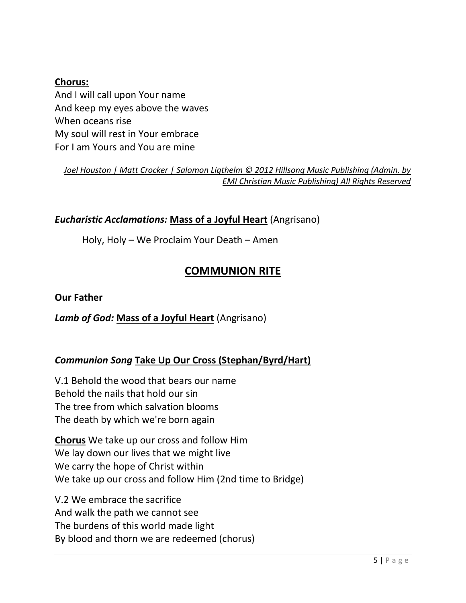### **Chorus:** And I will call upon Your name

And keep my eyes above the waves When oceans rise My soul will rest in Your embrace For I am Yours and You are mine

#### *Joel Houston | Matt Crocker | Salomon Ligthelm © 2012 Hillsong Music Publishing (Admin. by EMI Christian Music Publishing) All Rights Reserved*

### *Eucharistic Acclamations:* **Mass of a Joyful Heart** (Angrisano)

Holy, Holy – We Proclaim Your Death – Amen

# **COMMUNION RITE**

**Our Father**

*Lamb of God:* **Mass of a Joyful Heart** (Angrisano)

# *Communion Song* **Take Up Our Cross (Stephan/Byrd/Hart)**

V.1 Behold the wood that bears our name Behold the nails that hold our sin The tree from which salvation blooms The death by which we're born again

**Chorus** We take up our cross and follow Him We lay down our lives that we might live We carry the hope of Christ within We take up our cross and follow Him (2nd time to Bridge)

V.2 We embrace the sacrifice And walk the path we cannot see The burdens of this world made light By blood and thorn we are redeemed (chorus)